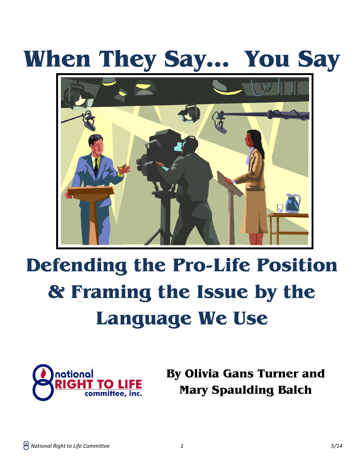# **When They Say… You Say**



# **Defending the Pro-Life Position & Framing the Issue by the Language We Use**



**By Olivia Gans Turner and Mary Spaulding Balch**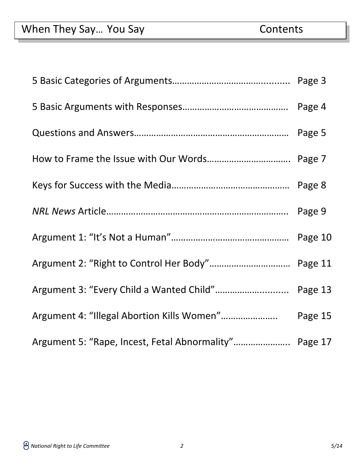| Argument 3: "Every Child a Wanted Child" Page 13      |         |
|-------------------------------------------------------|---------|
|                                                       | Page 15 |
| Argument 5: "Rape, Incest, Fetal Abnormality" Page 17 |         |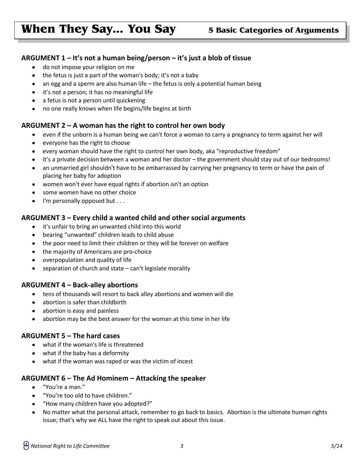### **ARGUMENT 1 – It's not a human being/person – it's just a blob of tissue**

- do not impose your religion on me  $\bullet$
- the fetus is just a part of the woman's body; it's not a baby
- an egg and a sperm are also human life the fetus is only a potential human being  $\bullet$
- it's not a person; it has no meaningful life  $\bullet$
- a fetus is not a person until quickening
- no one really knows when life begins/life begins at birth

#### **ARGUMENT 2 – A woman has the right to control her own body**

- even if the unborn is a human being we can't force a woman to carry a pregnancy to term against her will  $\bullet$
- everyone has the right to choose
- every woman should have the right to control her own body, aka "reproductive freedom"
- it's a private decision between a woman and her doctor the government should stay out of our bedrooms!
- an unmarried girl shouldn't have to be embarrassed by carrying her pregnancy to term or have the pain of placing her baby for adoption
- women won't ever have equal rights if abortion isn't an option  $\bullet$
- some women have no other choice  $\bullet$
- I'm personally opposed but . . .  $\bullet$

#### **ARGUMENT 3 – Every child a wanted child and other social arguments**

- $\bullet$ it's unfair to bring an unwanted child into this world
- bearing "unwanted" children leads to child abuse  $\bullet$
- the poor need to limit their children or they will be forever on welfare
- the majority of Americans are pro-choice
- overpopulation and quality of life
- separation of church and state can't legislate morality

#### **ARGUMENT 4 – Back-alley abortions**

- tens of thousands will resort to back alley abortions and women will die  $\bullet$
- abortion is safer than childbirth
- abortion is easy and painless
- abortion may be the best answer for the woman at this time in her life

#### **ARGUMENT 5 – The hard cases**

- what if the woman's life is threatened  $\bullet$
- what if the baby has a deformity
- what if the woman was raped or was the victim of incest

#### **ARGUMENT 6 – The Ad Hominem – Attacking the speaker**

- "You're a man."  $\bullet$
- "You're too old to have children."
- "How many children have you adopted?"
- No matter what the personal attack, remember to go back to basics. Abortion is the ultimate human rights issue; that's why we ALL have the right to speak out about this issue.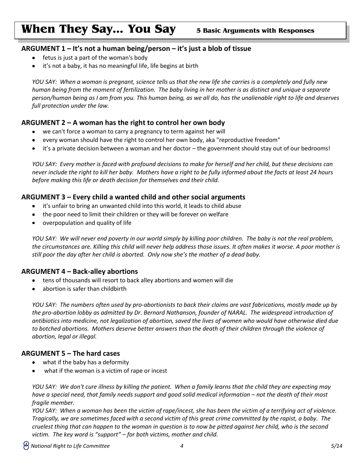#### **ARGUMENT 1 – It's not a human being/person – it's just a blob of tissue**

- fetus is just a part of the woman's body
- it's not a baby, it has no meaningful life, life begins at birth  $\bullet$

*YOU SAY: When a woman is pregnant, science tells us that the new life she carries is a completely and fully new human being from the moment of fertilization. The baby living in her mother is as distinct and unique a separate person/human being as I am from you. This human being, as we all do, has the unalienable right to life and deserves full protection under the law.*

### **ARGUMENT 2 – A woman has the right to control her own body**

- we can't force a woman to carry a pregnancy to term against her will
- every woman should have the right to control her own body, aka "reproductive freedom"
- it's a private decision between a woman and her doctor the government should stay out of our bedrooms!

*YOU SAY: Every mother is faced with profound decisions to make for herself and her child, but these decisions can never include the right to kill her baby. Mothers have a right to be fully informed about the facts at least 24 hours before making this life or death decision for themselves and their child.*

#### **ARGUMENT 3 – Every child a wanted child and other social arguments**

- it's unfair to bring an unwanted child into this world, it leads to child abuse  $\bullet$
- the poor need to limit their children or they will be forever on welfare
- overpopulation and quality of life

*YOU SAY: We will never end poverty in our world simply by killing poor children. The baby is not the real problem, the circumstances are. Killing this child will never help address those issues. It often makes it worse. A poor mother is still poor the day after her child is aborted. Only now she's the mother of a dead baby.*

#### **ARGUMENT 4 – Back-alley abortions**

- $\bullet$ tens of thousands will resort to back alley abortions and women will die
- abortion is safer than childbirth

*YOU SAY: The numbers often used by pro-abortionists to back their claims are vast fabrications, mostly made up by the pro-abortion lobby as admitted by Dr. Bernard Nathanson, founder of NARAL. The widespread introduction of antibiotics into medicine, not legalization of abortion, saved the lives of women who would have otherwise died due to botched abortions. Mothers deserve better answers than the death of their children through the violence of abortion, legal or illegal.* 

#### **ARGUMENT 5 – The hard cases**

- what if the baby has a deformity  $\bullet$
- what if the woman is a victim of rape or incest

*YOU SAY: We don't cure illness by killing the patient. When a family learns that the child they are expecting may have a special need, that family needs support and good solid medical information – not the death of their most fragile member.*

*YOU SAY: When a woman has been the victim of rape/incest, she has been the victim of a terrifying act of violence. Tragically, we are sometimes faced with a second victim of this great crime committed by the rapist, a baby. The cruelest thing that can happen to the woman in question is to now be pitted against her child, who is the second victim. The key word is "support" – for both victims, mother and child.*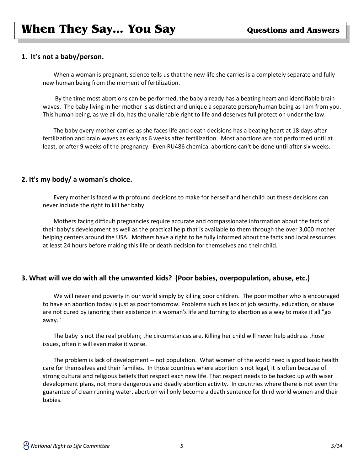#### **1. It's not a baby/person.**

When a woman is pregnant, science tells us that the new life she carries is a completely separate and fully new human being from the moment of fertilization.

By the time most abortions can be performed, the baby already has a beating heart and identifiable brain waves. The baby living in her mother is as distinct and unique a separate person/human being as I am from you. This human being, as we all do, has the unalienable right to life and deserves full protection under the law.

The baby every mother carries as she faces life and death decisions has a beating heart at 18 days after fertilization and brain waves as early as 6 weeks after fertilization. Most abortions are not performed until at least, or after 9 weeks of the pregnancy. Even RU486 chemical abortions can't be done until after six weeks.

#### **2. It's my body/ a woman's choice.**

Every mother is faced with profound decisions to make for herself and her child but these decisions can never include the right to kill her baby.

Mothers facing difficult pregnancies require accurate and compassionate information about the facts of their baby's development as well as the practical help that is available to them through the over 3,000 mother helping centers around the USA. Mothers have a right to be fully informed about the facts and local resources at least 24 hours before making this life or death decision for themselves and their child.

#### **3. What will we do with all the unwanted kids? (Poor babies, overpopulation, abuse, etc.)**

We will never end poverty in our world simply by killing poor children. The poor mother who is encouraged to have an abortion today is just as poor tomorrow. Problems such as lack of job security, education, or abuse are not cured by ignoring their existence in a woman's life and turning to abortion as a way to make it all "go away."

The baby is not the real problem; the circumstances are. Killing her child will never help address those issues, often it will even make it worse.

The problem is lack of development -- not population. What women of the world need is good basic health care for themselves and their families. In those countries where abortion is not legal, it is often because of strong cultural and religious beliefs that respect each new life. That respect needs to be backed up with wiser development plans, not more dangerous and deadly abortion activity. In countries where there is not even the guarantee of clean running water, abortion will only become a death sentence for third world women and their babies.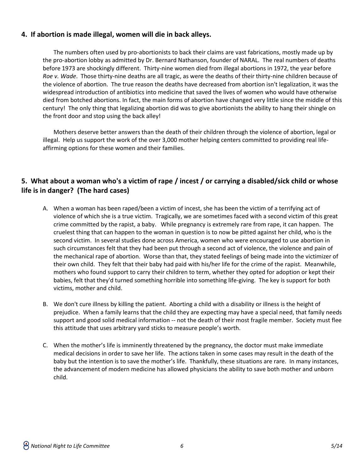### **4. If abortion is made illegal, women will die in back alleys.**

The numbers often used by pro-abortionists to back their claims are vast fabrications, mostly made up by the pro-abortion lobby as admitted by Dr. Bernard Nathanson, founder of NARAL. The real numbers of deaths before 1973 are shockingly different. Thirty-nine women died from illegal abortions in 1972, the year before *Roe v. Wade*. Those thirty-nine deaths are all tragic, as were the deaths of their thirty-nine children because of the violence of abortion. The true reason the deaths have decreased from abortion isn't legalization, it was the widespread introduction of antibiotics into medicine that saved the lives of women who would have otherwise died from botched abortions. In fact, the main forms of abortion have changed very little since the middle of this century! The only thing that legalizing abortion did was to give abortionists the ability to hang their shingle on the front door and stop using the back alley!

Mothers deserve better answers than the death of their children through the violence of abortion, legal or illegal. Help us support the work of the over 3,000 mother helping centers committed to providing real lifeaffirming options for these women and their families.

## **5. What about a woman who's a victim of rape / incest / or carrying a disabled/sick child or whose life is in danger? (The hard cases)**

- A. When a woman has been raped/been a victim of incest, she has been the victim of a terrifying act of violence of which she is a true victim. Tragically, we are sometimes faced with a second victim of this great crime committed by the rapist, a baby. While pregnancy is extremely rare from rape, it can happen. The cruelest thing that can happen to the woman in question is to now be pitted against her child, who is the second victim. In several studies done across America, women who were encouraged to use abortion in such circumstances felt that they had been put through a second act of violence, the violence and pain of the mechanical rape of abortion. Worse than that, they stated feelings of being made into the victimizer of their own child. They felt that their baby had paid with his/her life for the crime of the rapist. Meanwhile, mothers who found support to carry their children to term, whether they opted for adoption or kept their babies, felt that they'd turned something horrible into something life-giving. The key is support for both victims, mother and child.
- B. We don't cure illness by killing the patient. Aborting a child with a disability or illness is the height of prejudice. When a family learns that the child they are expecting may have a special need, that family needs support and good solid medical information -- not the death of their most fragile member. Society must flee this attitude that uses arbitrary yard sticks to measure people's worth.
- C. When the mother's life is imminently threatened by the pregnancy, the doctor must make immediate medical decisions in order to save her life. The actions taken in some cases may result in the death of the baby but the intention is to save the mother's life. Thankfully, these situations are rare. In many instances, the advancement of modern medicine has allowed physicians the ability to save both mother and unborn child.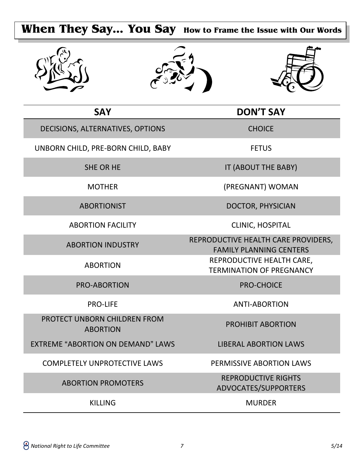# **When They Say… You Say How to Frame the Issue with Our Words**







| <b>SAY</b>                                      | <b>DON'T SAY</b>                                                      |
|-------------------------------------------------|-----------------------------------------------------------------------|
| DECISIONS, ALTERNATIVES, OPTIONS                | <b>CHOICE</b>                                                         |
| UNBORN CHILD, PRE-BORN CHILD, BABY              | <b>FETUS</b>                                                          |
| <b>SHE OR HE</b>                                | IT (ABOUT THE BABY)                                                   |
| <b>MOTHER</b>                                   | (PREGNANT) WOMAN                                                      |
| <b>ABORTIONIST</b>                              | <b>DOCTOR, PHYSICIAN</b>                                              |
| <b>ABORTION FACILITY</b>                        | CLINIC, HOSPITAL                                                      |
| <b>ABORTION INDUSTRY</b>                        | REPRODUCTIVE HEALTH CARE PROVIDERS,<br><b>FAMILY PLANNING CENTERS</b> |
| <b>ABORTION</b>                                 | REPRODUCTIVE HEALTH CARE,<br><b>TERMINATION OF PREGNANCY</b>          |
| <b>PRO-ABORTION</b>                             | <b>PRO-CHOICE</b>                                                     |
| <b>PRO-LIFE</b>                                 | <b>ANTI-ABORTION</b>                                                  |
| PROTECT UNBORN CHILDREN FROM<br><b>ABORTION</b> | <b>PROHIBIT ABORTION</b>                                              |
| <b>EXTREME "ABORTION ON DEMAND" LAWS</b>        | <b>LIBERAL ABORTION LAWS</b>                                          |
| <b>COMPLETELY UNPROTECTIVE LAWS</b>             | PERMISSIVE ABORTION LAWS                                              |
| <b>ABORTION PROMOTERS</b>                       | <b>REPRODUCTIVE RIGHTS</b><br>ADVOCATES/SUPPORTERS                    |
| <b>KILLING</b>                                  | <b>MURDER</b>                                                         |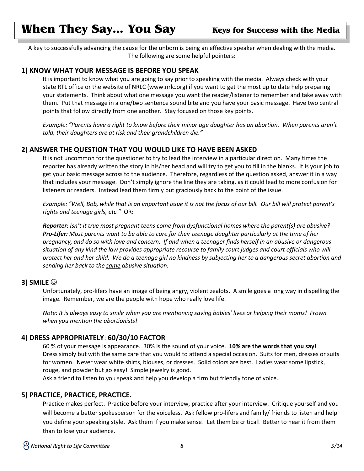## **When They Say... You Say Weys for Success with the Media**

A key to successfully advancing the cause for the unborn is being an effective speaker when dealing with the media. The following are some helpful pointers:

#### **1) KNOW WHAT YOUR MESSAGE IS BEFORE YOU SPEAK**

It is important to know what you are going to say prior to speaking with the media. Always check with your state RTL office or the website of NRLC (www.nrlc.org) if you want to get the most up to date help preparing your statements. Think about what one message you want the reader/listener to remember and take away with them. Put that message in a one/two sentence sound bite and you have your basic message. Have two central points that follow directly from one another. Stay focused on those key points.

*Example: "Parents have a right to know before their minor age daughter has an abortion. When parents aren't told, their daughters are at risk and their grandchildren die."*

#### **2) ANSWER THE QUESTION THAT YOU WOULD LIKE TO HAVE BEEN ASKED**

It is not uncommon for the questioner to try to lead the interview in a particular direction. Many times the reporter has already written the story in his/her head and will try to get you to fill in the blanks. It is your job to get your basic message across to the audience. Therefore, regardless of the question asked, answer it in a way that includes your message. Don't simply ignore the line they are taking, as it could lead to more confusion for listeners or readers. Instead lead them firmly but graciously back to the point of the issue.

*Example: "Well, Bob, while that is an important issue it is not the focus of our bill. Our bill will protect parent's rights and teenage girls, etc."* OR:

*Reporter: Isn't it true most pregnant teens come from dysfunctional homes where the parent(s) are abusive? Pro-Lifer: Most parents want to be able to care for their teenage daughter particularly at the time of her pregnancy, and do so with love and concern. If and when a teenager finds herself in an abusive or dangerous situation of any kind the law provides appropriate recourse to family court judges and court officials who will protect her and her child. We do a teenage girl no kindness by subjecting her to a dangerous secret abortion and sending her back to the same abusive situation.*

#### **3) SMILE**

Unfortunately, pro-lifers have an image of being angry, violent zealots. A smile goes a long way in dispelling the image. Remember, we are the people with hope who really love life.

*Note: It is always easy to smile when you are mentioning saving babies' lives or helping their moms! Frown when you mention the abortionists!*

#### **4) DRESS APPROPRIATELY**: **60/30/10 FACTOR**

60 % of your message is appearance. 30% is the sound of your voice. **10% are the words that you say!** Dress simply but with the same care that you would to attend a special occasion. Suits for men, dresses or suits for women. Never wear white shirts, blouses, or dresses. Solid colors are best. Ladies wear some lipstick, rouge, and powder but go easy! Simple jewelry is good.

Ask a friend to listen to you speak and help you develop a firm but friendly tone of voice.

#### **5) PRACTICE, PRACTICE, PRACTICE.**

Practice makes perfect. Practice before your interview, practice after your interview. Critique yourself and you will become a better spokesperson for the voiceless. Ask fellow pro-lifers and family/ friends to listen and help you define your speaking style. Ask them if you make sense! Let them be critical! Better to hear it from them than to lose your audience.

 *National Right to Life Committee 8 5/14*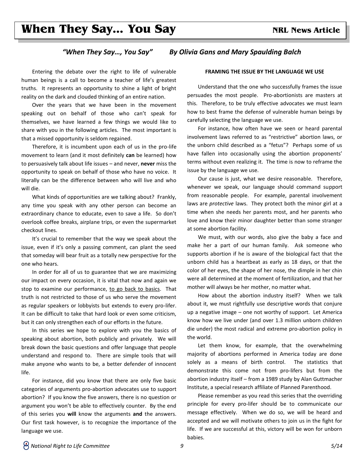## **When They Say... You Say <b>Example 20** NRL News Article

#### *"When They Say…, You Say" By Olivia Gans and Mary Spaulding Balch*

Entering the debate over the right to life of vulnerable human beings is a call to become a teacher of life's greatest truths. It represents an opportunity to shine a light of bright reality on the dark and clouded thinking of an entire nation.

Over the years that we have been in the movement speaking out on behalf of those who can't speak for themselves, we have learned a few things we would like to share with you in the following articles. The most important is that a missed opportunity is seldom regained.

Therefore, it is incumbent upon each of us in the pro-life movement to learn (and it most definitely **can** be learned) how to persuasively talk about life issues – and never, **never** miss the opportunity to speak on behalf of those who have no voice. It literally can be the difference between who will live and who will die.

What kinds of opportunities are we talking about? Frankly, any time you speak with any other person can become an extraordinary chance to educate, even to save a life. So don't overlook coffee breaks, airplane trips, or even the supermarket checkout lines.

It's crucial to remember that the way we speak about the issue, even if it's only a passing comment, can plant the seed that someday will bear fruit as a totally new perspective for the one who hears.

In order for all of us to guarantee that we are maximizing our impact on every occasion, it is vital that now and again we stop to examine our performance, to go back to basics. That truth is not restricted to those of us who serve the movement as regular speakers or lobbyists but extends to every pro-lifer. It can be difficult to take that hard look or even some criticism, but it can only strengthen each of our efforts in the future.

In this series we hope to explore with you the basics of speaking about abortion, both publicly and privately. We will break down the basic questions and offer language that people understand and respond to. There are simple tools that will make anyone who wants to be, a better defender of innocent life.

For instance, did you know that there are only five basic categories of arguments pro-abortion advocates use to support abortion? If you know the five answers, there is no question or argument you won't be able to effectively counter. By the end of this series you **will** know the arguments **and** the answers. Our first task however, is to recognize the importance of the language we use.

#### **FRAMING THE ISSUE BY THE LANGUAGE WE USE**

Understand that the one who successfully frames the issue persuades the most people. Pro-abortionists are masters at this. Therefore, to be truly effective advocates we must learn how to best frame the defense of vulnerable human beings by carefully selecting the language we use.

For instance, how often have we seen or heard parental involvement laws referred to as "restrictive" abortion laws, or the unborn child described as a "fetus"? Perhaps some of us have fallen into occasionally using the abortion proponents' terms without even realizing it. The time is now to reframe the issue by the language we use.

Our cause is just, what we desire reasonable. Therefore, whenever we speak, our language should command support from reasonable people. For example, parental involvement laws are *protective* laws. They protect both the minor girl at a time when she needs her parents most, and her parents who love and know their minor daughter better than some stranger at some abortion facility.

We must, with our words, also give the baby a face and make her a part of our human family. Ask someone who supports abortion if he is aware of the biological fact that the unborn child has a heartbeat as early as 18 days, or that the color of her eyes, the shape of her nose, the dimple in her chin were all determined at the moment of fertilization, and that her mother will always be her mother, no matter what.

How about the abortion industry itself? When we talk about it, we must rightfully use descriptive words that conjure up a negative image – one not worthy of support. Let America know how we live under (and over 1.3 million unborn children die under) the most radical and extreme pro-abortion policy in the world.

Let them know, for example, that the overwhelming majority of abortions performed in America today are done solely as a means of birth control. The statistics that demonstrate this come not from pro-lifers but from the abortion industry itself – from a 1989 study by Alan Guttmacher Institute, a special research affiliate of Planned Parenthood.

Please remember as you read this series that the overriding principle for every pro-lifer should be to communicate our message effectively. When we do so, we will be heard and accepted and we will motivate others to join us in the fight for life. If we are successful at this, victory will be won for unborn babies.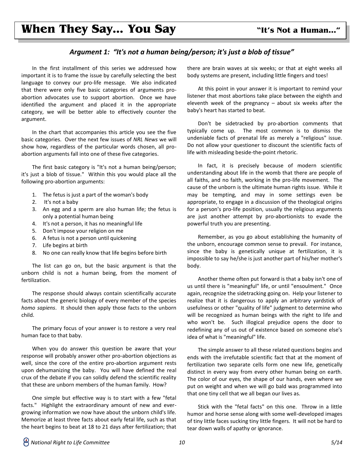#### *Argument 1: "It's not a human being/person; it's just a blob of tissue"*

In the first installment of this series we addressed how important it is to frame the issue by carefully selecting the best language to convey our pro-life message. We also indicated that there were only five basic categories of arguments proabortion advocates use to support abortion. Once we have identified the argument and placed it in the appropriate category, we will be better able to effectively counter the argument.

In the chart that accompanies this article you see the five basic categories. Over the next few issues of *NRL News* we will show how, regardless of the particular words chosen, all proabortion arguments fall into one of these five categories.

The first basic category is "It's not a human being/person; it's just a blob of tissue." Within this you would place all the following pro-abortion arguments:

- 1. The fetus is just a part of the woman's body
- 2. It's not a baby
- 3. An egg and a sperm are also human life; the fetus is only a potential human being
- 4. It's not a person, it has no meaningful life
- 5. Don't impose your religion on me
- 6. A fetus is not a person until quickening
- 7. Life begins at birth
- 8. No one can really know that life begins before birth

The list can go on, but the basic argument is that the unborn child is not a human being, from the moment of fertilization.

The response should always contain scientifically accurate facts about the generic biology of every member of the species *homo sapiens*. It should then apply those facts to the unborn child.

The primary focus of your answer is to restore a very real human face to that baby.

When you do answer this question be aware that your response will probably answer other pro-abortion objections as well, since the core of the entire pro-abortion argument rests upon dehumanizing the baby. You will have defined the real crux of the debate if you can solidly defend the scientific reality that these are unborn members of the human family. How?

One simple but effective way is to start with a few "fetal facts." Highlight the extraordinary amount of new and evergrowing information we now have about the unborn child's life. Memorize at least three facts about early fetal life, such as that the heart begins to beat at 18 to 21 days after fertilization; that there are brain waves at six weeks; or that at eight weeks all body systems are present, including little fingers and toes!

At this point in your answer it is important to remind your listener that most abortions take place between the eighth and eleventh week of the pregnancy – about six weeks after the baby's heart has started to beat.

Don't be sidetracked by pro-abortion comments that typically come up. The most common is to dismiss the undeniable facts of prenatal life as merely a "religious" issue. Do not allow your questioner to discount the scientific facts of life with misleading beside-the-point rhetoric.

In fact, it is precisely because of modern scientific understanding about life in the womb that there are people of all faiths, and no faith, working in the pro-life movement. The cause of the unborn is the ultimate human rights issue. While it may be tempting, and may in some settings even be appropriate, to engage in a discussion of the theological origins for a person's pro-life position, usually the religious arguments are just another attempt by pro-abortionists to evade the powerful truth you are presenting.

Remember, as you go about establishing the humanity of the unborn, encourage common sense to prevail. For instance, since the baby is genetically unique at fertilization, it is impossible to say he/she is just another part of his/her mother's body.

Another theme often put forward is that a baby isn't one of us until there is "meaningful" life, or until "ensoulment." Once again, recognize the sidetracking going on. Help your listener to realize that it is dangerous to apply an arbitrary yardstick of usefulness or other "quality of life" judgment to determine who will be recognized as human beings with the right to life and who won't be. Such illogical prejudice opens the door to redefining any of us out of existence based on someone else's idea of what is "meaningful" life.

The simple answer to all these related questions begins and ends with the irrefutable scientific fact that at the moment of fertilization two separate cells form one new life, genetically distinct in every way from every other human being on earth. The color of our eyes, the shape of our hands, even where we put on weight and when we will go bald was programmed into that one tiny cell that we all began our lives as.

Stick with the "fetal facts" on this one. Throw in a little humor and horse sense along with some well-developed images of tiny little faces sucking tiny little fingers. It will not be hard to tear down walls of apathy or ignorance.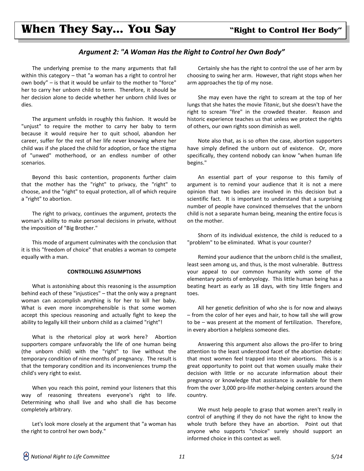## **When They Say… You Say "Right to Control Her Body"**

#### *Argument 2: "A Woman Has the Right to Control her Own Body"*

The underlying premise to the many arguments that fall within this category – that "a woman has a right to control her own body" – is that it would be unfair to the mother to "force" her to carry her unborn child to term. Therefore, it should be her decision alone to decide whether her unborn child lives or dies.

The argument unfolds in roughly this fashion. It would be "unjust" to require the mother to carry her baby to term because it would require her to quit school, abandon her career, suffer for the rest of her life never knowing where her child was if she placed the child for adoption, or face the stigma of "unwed" motherhood, or an endless number of other scenarios.

Beyond this basic contention, proponents further claim that the mother has the "right" to privacy, the "right" to choose, and the "right" to equal protection, all of which require a "right" to abortion.

The right to privacy, continues the argument, protects the woman's ability to make personal decisions in private, without the imposition of "Big Brother."

This mode of argument culminates with the conclusion that it is this "freedom of choice" that enables a woman to compete equally with a man.

#### **CONTROLLING ASSUMPTIONS**

What is astonishing about this reasoning is the assumption behind each of these "injustices" – that the only way a pregnant woman can accomplish anything is for her to kill her baby. What is even more incomprehensible is that some women accept this specious reasoning and actually fight to keep the ability to legally kill their unborn child as a claimed "right"!

What is the rhetorical ploy at work here? Abortion supporters compare unfavorably the life of one human being (the unborn child) with the "right" to live without the temporary condition of nine months of pregnancy. The result is that the temporary condition and its inconveniences trump the child's very right to exist.

When you reach this point, remind your listeners that this way of reasoning threatens everyone's right to life. Determining who shall live and who shall die has become completely arbitrary.

Let's look more closely at the argument that "a woman has the right to control her own body."

Certainly she has the right to control the use of her arm by choosing to swing her arm. However, that right stops when her arm approaches the tip of my nose.

She may even have the right to scream at the top of her lungs that she hates the movie *Titanic*, but she doesn't have the right to scream "fire" in the crowded theater. Reason and historic experience teaches us that unless we protect the rights of others, our own rights soon diminish as well.

Note also that, as is so often the case, abortion supporters have simply defined the unborn out of existence. Or, more specifically, they contend nobody can know "when human life begins."

An essential part of your response to this family of argument is to remind your audience that it is not a mere opinion that two bodies are involved in this decision but a scientific fact. It is important to understand that a surprising number of people have convinced themselves that the unborn child is not a separate human being, meaning the entire focus is on the mother.

Shorn of its individual existence, the child is reduced to a "problem" to be eliminated. What is your counter?

Remind your audience that the unborn child is the smallest, least seen among us, and thus, is the most vulnerable. Buttress your appeal to our common humanity with some of the elementary points of embryology. This little human being has a beating heart as early as 18 days, with tiny little fingers and toes.

All her genetic definition of who she is for now and always – from the color of her eyes and hair, to how tall she will grow to be – was present at the moment of fertilization. Therefore, in every abortion a helpless someone dies.

Answering this argument also allows the pro-lifer to bring attention to the least understood facet of the abortion debate: that most women feel trapped into their abortions. This is a great opportunity to point out that women usually make their decision with little or no accurate information about their pregnancy or knowledge that assistance is available for them from the over 3,000 pro-life mother-helping centers around the country.

We must help people to grasp that women aren't really in control of anything if they do not have the right to know the whole truth before they have an abortion. Point out that anyone who supports "choice" surely should support an informed choice in this context as well.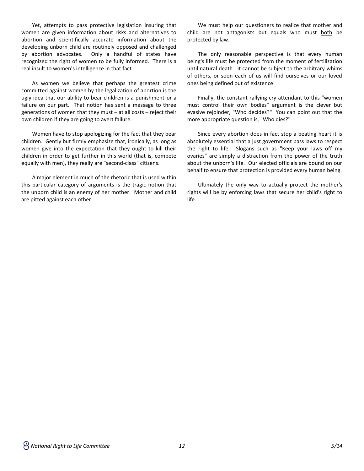Yet, attempts to pass protective legislation insuring that women are given information about risks and alternatives to abortion and scientifically accurate information about the developing unborn child are routinely opposed and challenged by abortion advocates. Only a handful of states have recognized the right of women to be fully informed. There is a real insult to women's intelligence in that fact.

As women we believe that perhaps the greatest crime committed against women by the legalization of abortion is the ugly idea that our ability to bear children is a punishment or a failure on our part. That notion has sent a message to three generations of women that they must – at all costs – reject their own children if they are going to avert failure.

Women have to stop apologizing for the fact that they bear children. Gently but firmly emphasize that, ironically, as long as women give into the expectation that they ought to kill their children in order to get further in this world (that is, compete equally with men), they really are "second-class" citizens.

A major element in much of the rhetoric that is used within this particular category of arguments is the tragic notion that the unborn child is an enemy of her mother. Mother and child are pitted against each other.

We must help our questioners to realize that mother and child are not antagonists but equals who must both be protected by law.

The only reasonable perspective is that every human being's life must be protected from the moment of fertilization until natural death. It cannot be subject to the arbitrary whims of others, or soon each of us will find ourselves or our loved ones being defined out of existence.

Finally, the constant rallying cry attendant to this "women must control their own bodies" argument is the clever but evasive rejoinder, "Who decides?" You can point out that the more appropriate question is, "Who dies?"

Since every abortion does in fact stop a beating heart it is absolutely essential that a just government pass laws to respect the right to life. Slogans such as "Keep your laws off my ovaries" are simply a distraction from the power of the truth about the unborn's life. Our elected officials are bound on our behalf to ensure that protection is provided every human being.

Ultimately the only way to actually protect the mother's rights will be by enforcing laws that secure her child's right to life.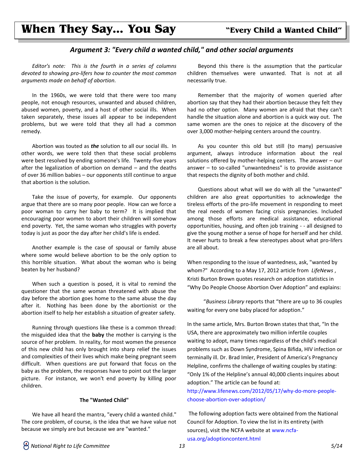#### *Argument 3: "Every child a wanted child," and other social arguments*

*Editor's note: This is the fourth in a series of columns devoted to showing pro-lifers how to counter the most common arguments made on behalf of abortion.*

In the 1960s, we were told that there were too many people, not enough resources, unwanted and abused children, abused women, poverty, and a host of other social ills. When taken separately, these issues all appear to be independent problems, but we were told that they all had a common remedy.

Abortion was touted as *the* solution to all our social ills. In other words, we were told then that these social problems were best resolved by ending someone's life. Twenty-five years after the legalization of abortion on demand – and the deaths of over 36 million babies – our opponents still continue to argue that abortion is the solution.

Take the issue of poverty, for example. Our opponents argue that there are so many poor people. How can we force a poor woman to carry her baby to term? It is implied that encouraging poor women to abort their children will somehow end poverty. Yet, the same woman who struggles with poverty today is just as poor the day after her child's life is ended.

Another example is the case of spousal or family abuse where some would believe abortion to be the only option to this horrible situation. What about the woman who is being beaten by her husband?

When such a question is posed, it is vital to remind the questioner that the same woman threatened with abuse the day before the abortion goes home to the same abuse the day after it. Nothing has been done by the abortionist or the abortion itself to help her establish a situation of greater safety.

Running through questions like these is a common thread: the misguided idea that the **baby** the mother is carrying is the source of her problem. In reality, for most women the presence of this new child has only brought into sharp relief the issues and complexities of their lives which make being pregnant seem difficult. When questions are put forward that focus on the baby as the problem, the responses have to point out the larger picture. For instance, we won't end poverty by killing poor children.

#### **The "Wanted Child"**

We have all heard the mantra, "every child a wanted child." The core problem, of course, is the idea that we have value not because we simply are but because we are "wanted."

Beyond this there is the assumption that the particular children themselves were unwanted. That is not at all necessarily true.

Remember that the majority of women queried after abortion say that they had their abortion because they felt they had no other option. Many women are afraid that they can't handle the situation alone and abortion is a quick way out. The same women are the ones to rejoice at the discovery of the over 3,000 mother-helping centers around the country.

As you counter this old but still (to many) persuasive argument, always introduce information about the real solutions offered by mother-helping centers. The answer – our answer – to so-called "unwantedness" is to provide assistance that respects the dignity of both mother and child.

Questions about what will we do with all the "unwanted" children are also great opportunities to acknowledge the tireless efforts of the pro-life movement in responding to meet the real needs of women facing crisis pregnancies. Included among those efforts are medical assistance, educational opportunities, housing, and often job training - - all designed to give the young mother a sense of hope for herself and her child. It never hurts to break a few stereotypes about what pro-lifers are all about.

When responding to the issue of wantedness, ask, "wanted by whom?" According to a May 17, 2012 article from *LifeNews* , Kristi Burton Brown quotes research on adoption statistics in "Why Do People Choose Abortion Over Adoption" and explains:

 "*Business Library* reports that "there are up to 36 couples waiting for every one baby placed for adoption."

In the same article, Mrs. Burton Brown states that that, "In the USA, there are approximately two million infertile couples waiting to adopt, many times regardless of the child's medical problems such as Down Syndrome, Spina Bifida, HIV infection or terminally ill. Dr. Brad Imler, President of America's Pregnancy Helpline, confirms the challenge of waiting couples by stating: "Only 1% of the Helpline's annual 40,000 clients inquires about adoption." The article can be found at:

[http://www.lifenews.com/2012/05/17/why-do-more-people](http://www.lifenews.com/2012/05/17/why-do-more-people-choose-abortion-over-adoption/)[choose-abortion-over-adoption/](http://www.lifenews.com/2012/05/17/why-do-more-people-choose-abortion-over-adoption/)

The following adoption facts were obtained from the National Council for Adoption. To view the list in its entirety (with sources), visit the NCFA website at [www.ncfa](http://www.ncfa-usa.org/adoptioncontent.html)[usa.org/adoptioncontent.html](http://www.ncfa-usa.org/adoptioncontent.html)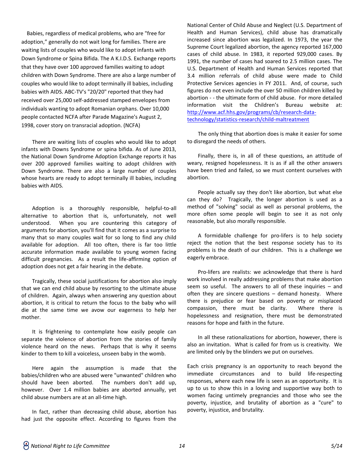Babies, regardless of medical problems, who are "free for adoption," generally do not wait long for families. There are waiting lists of couples who would like to adopt infants with Down Syndrome or Spina Bifida. The A K.I.D.S. Exchange reports that they have over 100 approved families waiting to adopt children with Down Syndrome. There are also a large number of couples who would like to adopt terminally ill babies, including babies with AIDS. ABC-TV's "20/20" reported that they had received over 25,000 self-addressed stamped envelopes from individuals wanting to adopt Romanian orphans. Over 10,000 people contacted NCFA after Parade Magazine's August 2, 1998, cover story on transracial adoption. (NCFA)

There are waiting lists of couples who would like to adopt infants with Downs Syndrome or spina bifida. As of June 2013, the National Down Syndrome Adoption Exchange reports it has over 200 approved families waiting to adopt children with Down Syndrome. There are also a large number of couples whose hearts are ready to adopt terminally ill babies, including babies with AIDS.

Adoption is a thoroughly responsible, helpful-to-all alternative to abortion that is, unfortunately, not well understood. When you are countering this category of arguments for abortion, you'll find that it comes as a surprise to many that so many couples wait for so long to find any child available for adoption. All too often, there is far too little accurate information made available to young women facing difficult pregnancies. As a result the life-affirming option of adoption does not get a fair hearing in the debate.

Tragically, these social justifications for abortion also imply that we can end child abuse by resorting to the ultimate abuse of children. Again, always when answering any question about abortion, it is critical to return the focus to the baby who will die at the same time we avow our eagerness to help her mother.

It is frightening to contemplate how easily people can separate the violence of abortion from the stories of family violence heard on the news. Perhaps that is why it seems kinder to them to kill a voiceless, unseen baby in the womb.

Here again the assumption is made that the babies/children who are abused were "unwanted" children who should have been aborted. The numbers don't add up, however. Over 1.4 million babies are aborted annually, yet child abuse numbers are at an all-time high.

In fact, rather than decreasing child abuse, abortion has had just the opposite effect. According to figures from the National Center of Child Abuse and Neglect (U.S. Department of Health and Human Services), child abuse has dramatically increased since abortion was legalized. In 1973, the year the Supreme Court legalized abortion, the agency reported 167,000 cases of child abuse. In 1983, it reported 929,000 cases. By 1991, the number of cases had soared to 2.5 million cases. The U.S. Department of Health and Human Services reported that 3.4 million referrals of child abuse were made to Child Protective Services agencies in FY 2011. And, of course, such figures do not even include the over 50 million children killed by abortion ‐ - the ultimate form of child abuse. For more detailed information visit the Children's Bureau website at: [http://www.acf.hhs.gov/programs/cb/research-data](http://www.acf.hhs.gov/programs/cb/research-data-technology/statistics-research/child-maltreatment)[technology/statistics-research/child-maltreatment](http://www.acf.hhs.gov/programs/cb/research-data-technology/statistics-research/child-maltreatment)

The only thing that abortion does is make it easier for some to disregard the needs of others.

Finally, there is, in all of these questions, an attitude of weary, resigned hopelessness. It is as if all the other answers have been tried and failed, so we must content ourselves with abortion.

People actually say they don't like abortion, but what else can they do? Tragically, the longer abortion is used as a method of "solving" social as well as personal problems, the more often some people will begin to see it as not only reasonable, but also morally responsible.

A formidable challenge for pro-lifers is to help society reject the notion that the best response society has to its problems is the death of our children. This is a challenge we eagerly embrace.

Pro-lifers are realists: we acknowledge that there is hard work involved in really addressing problems that make abortion seem so useful. The answers to all of these inquiries – and often they are sincere questions – demand honesty. Where there is prejudice or fear based on poverty or misplaced compassion, there must be clarity. Where there is hopelessness and resignation, there must be demonstrated reasons for hope and faith in the future.

In all these rationalizations for abortion, however, there is also an invitation. What is called for from us is creativity. We are limited only by the blinders we put on ourselves.

Each crisis pregnancy is an opportunity to reach beyond the immediate circumstances and to build life-respecting responses, where each new life is seen as an opportunity. It is up to us to show this in a loving and supportive way both to women facing untimely pregnancies and those who see the poverty, injustice, and brutality of abortion as a "cure" to poverty, injustice, and brutality.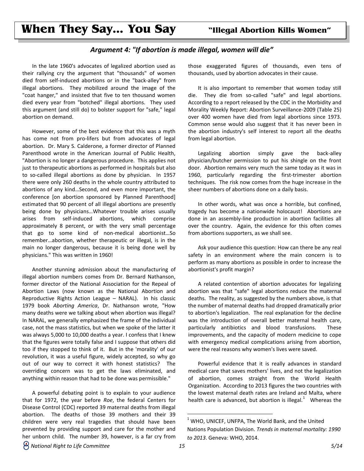## **When They Say… You Say "Illegal Abortion Kills Women"**

#### *Argument 4: "If abortion is made illegal, women will die"*

In the late 1960's advocates of legalized abortion used as their rallying cry the argument that "thousands" of women died from self-induced abortions or in the "back-alley" from illegal abortions. They mobilized around the image of the "coat hanger," and insisted that five to ten thousand women died every year from "botched" illegal abortions. They used this argument (and still do) to bolster support for "safe," legal abortion on demand.

However, some of the best evidence that this was a myth has come not from pro-lifers but from advocates of legal abortion. Dr. Mary S. Calderone, a former director of Planned Parenthood wrote in the American Journal of Public Health, "Abortion is no longer a dangerous procedure. This applies not just to therapeutic abortions as performed in hospitals but also to so-called illegal abortions as done by physician. In 1957 there were only 260 deaths in the whole country attributed to abortions of any kind…Second, and even more important, the conference [on abortion sponsored by Planned Parenthood] estimated that 90 percent of all illegal abortions are presently being done by physicians…Whatever trouble arises usually arises from self-induced abortions, which comprise approximately 8 percent, or with the very small percentage that go to some kind of non-medical abortionist…So remember…abortion, whether therapeutic or illegal, is in the main no longer dangerous, because it is being done well by physicians." This was written in 1960!

Another stunning admission about the manufacturing of illegal abortion numbers comes from Dr. Bernard Nathanson, former director of the National Association for the Repeal of Abortion Laws (now known as the National Abortion and Reproductive Rights Action League – NARAL). In his classic 1979 book *Aborting America*, Dr. Nathanson wrote, "How many deaths were we talking about when abortion was illegal? In NARAL, we generally emphasized the frame of the individual case, not the mass statistics, but when we spoke of the latter it was always 5,000 to 10,000 deaths a year. I confess that I knew that the figures were totally false and I suppose that others did too if they stopped to think of it. But in the 'morality' of our revolution, it was a useful figure, widely accepted, so why go out of our way to correct it with honest statistics? The overriding concern was to get the laws eliminated, and anything within reason that had to be done was permissible."

A powerful debating point is to explain to your audience that for 1972, the year before *Roe*, the federal Centers for Disease Control (CDC) reported 39 maternal deaths from illegal abortion. The deaths of those 39 mothers and their 39 children were very real tragedies that should have been prevented by providing support and care for the mother and her unborn child. The number 39, however, is a far cry from

those exaggerated figures of thousands, even tens of thousands, used by abortion advocates in their cause.

It is also important to remember that women today still die. They die from so-called "safe" and legal abortions. According to a report released by the CDC in the Morbidity and Morality Weekly Report: Abortion Surveillance-2009 (Table 25) over 400 women have died from legal abortions since 1973. Common sense would also suggest that it has never been in the abortion industry's self interest to report all the deaths from legal abortion.

Legalizing abortion simply gave the back-alley physician/butcher permission to put his shingle on the front door. Abortion remains very much the same today as it was in 1960, particularly regarding the first-trimester abortion techniques. The risk now comes from the huge increase in the sheer numbers of abortions done on a daily basis.

In other words, what was once a horrible, but confined, tragedy has become a nationwide holocaust! Abortions are done in an assembly-line production in abortion facilities all over the country. Again, the evidence for this often comes from abortions supporters, as we shall see.

Ask your audience this question: How can there be any real safety in an environment where the main concern is to perform as many abortions as possible in order to increase the abortionist's profit margin?

A related contention of abortion advocates for legalizing abortion was that "safe" legal abortions reduce the maternal deaths. The reality, as suggested by the numbers above, is that the number of maternal deaths had dropped dramatically prior to abortion's legalization. The real explanation for the decline was the introduction of overall better maternal health care, particularly antibiotics and blood transfusions. These improvements, and the capacity of modern medicine to cope with emergency medical complications arising from abortion, were the real reasons why women's lives were saved.

Powerful evidence that it is really advances in standard medical care that saves mothers' lives, and not the legalization of abortion, comes straight from the World Health Organization. According to 2013 figures the two countries with the lowest maternal death rates are Ireland and Malta, where health care is advanced, but abortion is illegal. $1$  Whereas the

l

 $1$  WHO, UNICEF, UNFPA, The World Bank, and the United Nations Population Division. *Trends in maternal mortality: 1990 to 2013*. Geneva: WHO, 2014.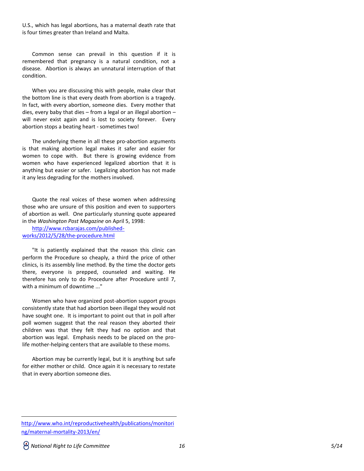U.S., which has legal abortions, has a maternal death rate that is four times greater than Ireland and Malta.

Common sense can prevail in this question if it is remembered that pregnancy is a natural condition, not a disease. Abortion is always an unnatural interruption of that condition.

When you are discussing this with people, make clear that the bottom line is that every death from abortion is a tragedy. In fact, with every abortion, someone dies. Every mother that dies, every baby that dies – from a legal or an illegal abortion – will never exist again and is lost to society forever. Every abortion stops a beating heart - sometimes two!

The underlying theme in all these pro-abortion arguments is that making abortion legal makes it safer and easier for women to cope with. But there is growing evidence from women who have experienced legalized abortion that it is anything but easier or safer. Legalizing abortion has not made it any less degrading for the mothers involved.

Quote the real voices of these women when addressing those who are unsure of this position and even to supporters of abortion as well. One particularly stunning quote appeared in the *Washington Post Magazine* on April 5, 1998:

[http://www.rcbarajas.com/published](http://www.rcbarajas.com/published-works/2012/5/28/the-procedure.html)[works/2012/5/28/the-procedure.html](http://www.rcbarajas.com/published-works/2012/5/28/the-procedure.html)

"It is patiently explained that the reason this clinic can perform the Procedure so cheaply, a third the price of other clinics, is its assembly line method. By the time the doctor gets there, everyone is prepped, counseled and waiting. He therefore has only to do Procedure after Procedure until 7, with a minimum of downtime ..."

Women who have organized post-abortion support groups consistently state that had abortion been illegal they would not have sought one. It is important to point out that in poll after poll women suggest that the real reason they aborted their children was that they felt they had no option and that abortion was legal. Emphasis needs to be placed on the prolife mother-helping centers that are available to these moms.

Abortion may be currently legal, but it is anything but safe for either mother or child. Once again it is necessary to restate that in every abortion someone dies.

 $\overline{a}$ [http://www.who.int/reproductivehealth/publications/monitori](http://www.who.int/reproductivehealth/publications/monitoring/maternal-mortality-2013/en/) [ng/maternal-mortality-2013/en/](http://www.who.int/reproductivehealth/publications/monitoring/maternal-mortality-2013/en/)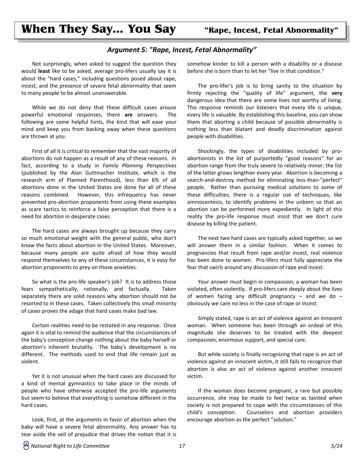## **When They Say… You Say "Rape, Incest, Fetal Abnormality"**

#### *Argument 5: "Rape, Incest, Fetal Abnormality"*

Not surprisingly, when asked to suggest the question they would **least** like to be asked, average pro-lifers usually say it is about the "hard cases," including questions posed about rape, incest, and the presence of severe fetal abnormality that seem to many people to be almost unanswerable.

While we do not deny that these difficult cases arouse powerful emotional responses, there **are** answers. The following are some helpful hints, the kind that will ease your mind and keep you from backing away when these questions are thrown at you.

First of all it is critical to remember that the vast majority of abortions do not happen as a result of any of these reasons. In fact, according to a study in *Family Planning Perspectives* (published by the Alan Guttmacher Institute, which is the research arm of Planned Parenthood), less than 6% of all abortions done in the United States are done for all of these reasons combined. However, this infrequency has never prevented pro-abortion proponents from using these examples as scare tactics to reinforce a false perception that there is a need for abortion in desperate cases.

The hard cases are always brought up because they carry so much emotional weight with the general public, who don't know the facts about abortion in the United States. Moreover, because many people are quite afraid of how they would respond themselves to any of these circumstances, it is easy for abortion proponents to prey on those anxieties.

So what is the pro-life speaker's job? It is to address those fears sympathetically, rationally, and factually. Taken separately there are solid reasons why abortion should not be resorted to in these cases. Taken collectively this small minority of cases proves the adage that hard cases make bad law.

Certain realities need to be restated in any response. Once again it is vital to remind the audience that the circumstances of the baby's conception change nothing about the baby herself or abortion's inherent brutality. The baby's development is no different. The methods used to end that life remain just as violent.

Yet it is not unusual when the hard cases are discussed for a kind of mental gymnastics to take place in the minds of people who have otherwise accepted the pro-life arguments but seem to believe that everything is somehow different in the hard cases.

Look, first, at the arguments in favor of abortion when the baby will have a severe fetal abnormality. Any answer has to tear aside the veil of prejudice that drives the notion that it is somehow kinder to kill a person with a disability or a disease before she is born than to let her "live in that condition."

The pro-lifer's job is to bring sanity to the situation by firmly rejecting the "quality of life" argument, the **very** dangerous idea that there are some lives not worthy of living. This response reminds our listeners that every life is unique, every life is valuable. By establishing this baseline, you can show them that aborting a child because of possible abnormality is nothing less than blatant and deadly discrimination against people with disabilities.

Shockingly, the types of disabilities included by proabortionists in the list of purportedly "good reasons" for an abortion range from the truly severe to relatively minor; the list of the latter grows lengthier every year. Abortion is becoming a search-and-destroy method for eliminating less-than-"perfect" people. Rather than pursuing medical solutions to some of these difficulties, there is a regular use of techniques, like amniocentesis, to identify problems in the unborn so that an abortion can be performed more expediently. In light of this reality the pro-life response must insist that we don't cure disease by killing the patient.

The next two hard cases are typically asked together, so we will answer them in a similar fashion. When it comes to pregnancies that result from rape and/or incest, real violence has been done to women. Pro-lifers must fully appreciate the fear that swirls around any discussion of rape and incest.

Your answer must begin in compassion; a woman has been violated, often violently. If pro-lifers care deeply about the lives of women facing any difficult pregnancy  $-$  and we do  $$ obviously we care no less in the case of rape or incest.

Simply stated, rape is an act of violence against an innocent woman. When someone has been through an ordeal of this magnitude she deserves to be treated with the deepest compassion, enormous support, and special care.

But while society is finally recognizing that rape is an act of violence against an innocent victim, it still fails to recognize that abortion is also an act of violence against another innocent victim.

If the woman does become pregnant, a rare but possible occurrence, she may be made to feel twice as tainted when society is not prepared to cope with the circumstances of this child's conception. Counselors and abortion providers encourage abortion as the perfect "solution."